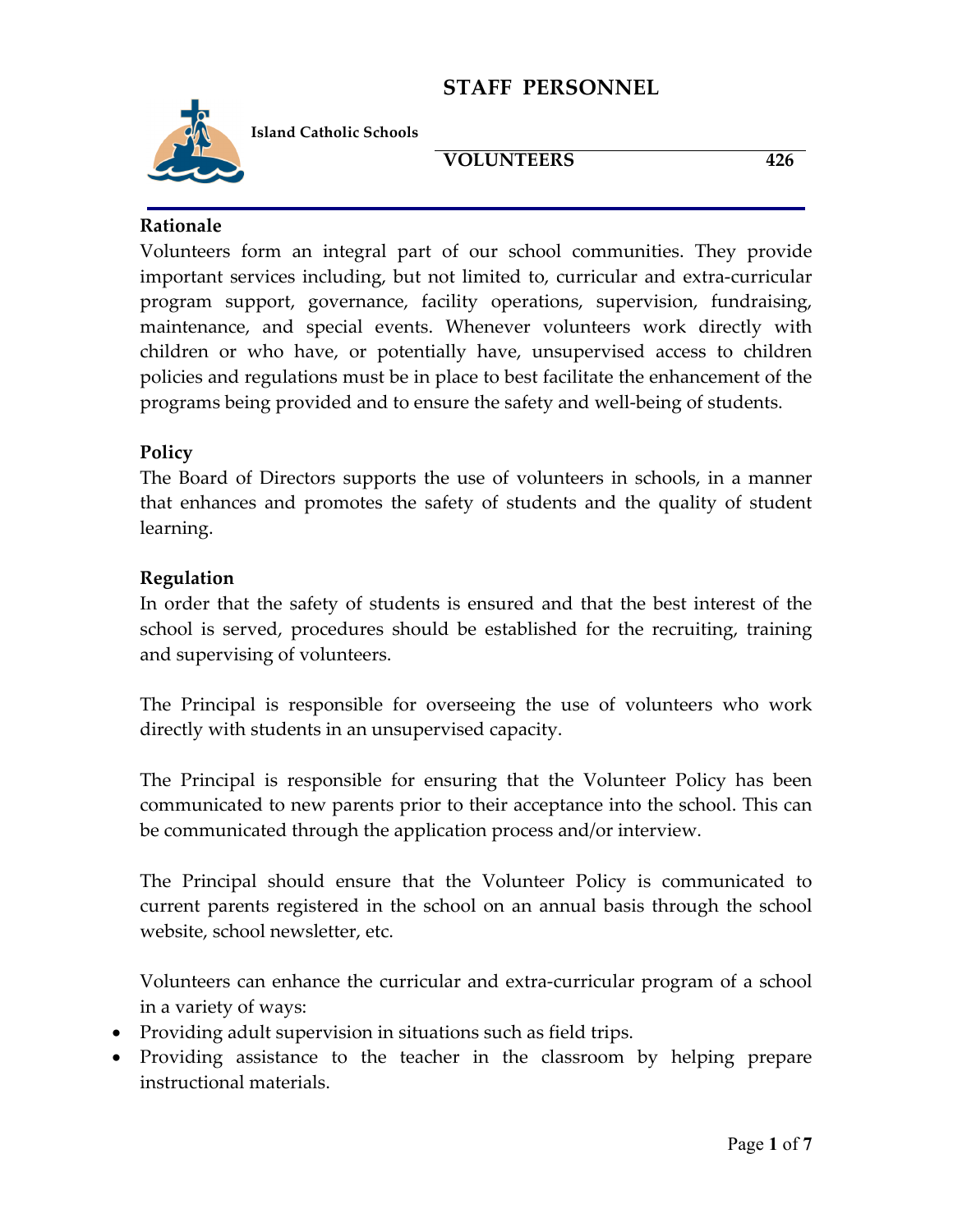

**Island Catholic Schools** 

#### **VOLUNTEERS 426**

### **Rationale**

Volunteers form an integral part of our school communities. They provide important services including, but not limited to, curricular and extra-curricular program support, governance, facility operations, supervision, fundraising, maintenance, and special events. Whenever volunteers work directly with children or who have, or potentially have, unsupervised access to children policies and regulations must be in place to best facilitate the enhancement of the programs being provided and to ensure the safety and well-being of students.

#### **Policy**

The Board of Directors supports the use of volunteers in schools, in a manner that enhances and promotes the safety of students and the quality of student learning.

#### **Regulation**

In order that the safety of students is ensured and that the best interest of the school is served, procedures should be established for the recruiting, training and supervising of volunteers.

The Principal is responsible for overseeing the use of volunteers who work directly with students in an unsupervised capacity.

The Principal is responsible for ensuring that the Volunteer Policy has been communicated to new parents prior to their acceptance into the school. This can be communicated through the application process and/or interview.

The Principal should ensure that the Volunteer Policy is communicated to current parents registered in the school on an annual basis through the school website, school newsletter, etc.

Volunteers can enhance the curricular and extra-curricular program of a school in a variety of ways:

- Providing adult supervision in situations such as field trips.
- Providing assistance to the teacher in the classroom by helping prepare instructional materials.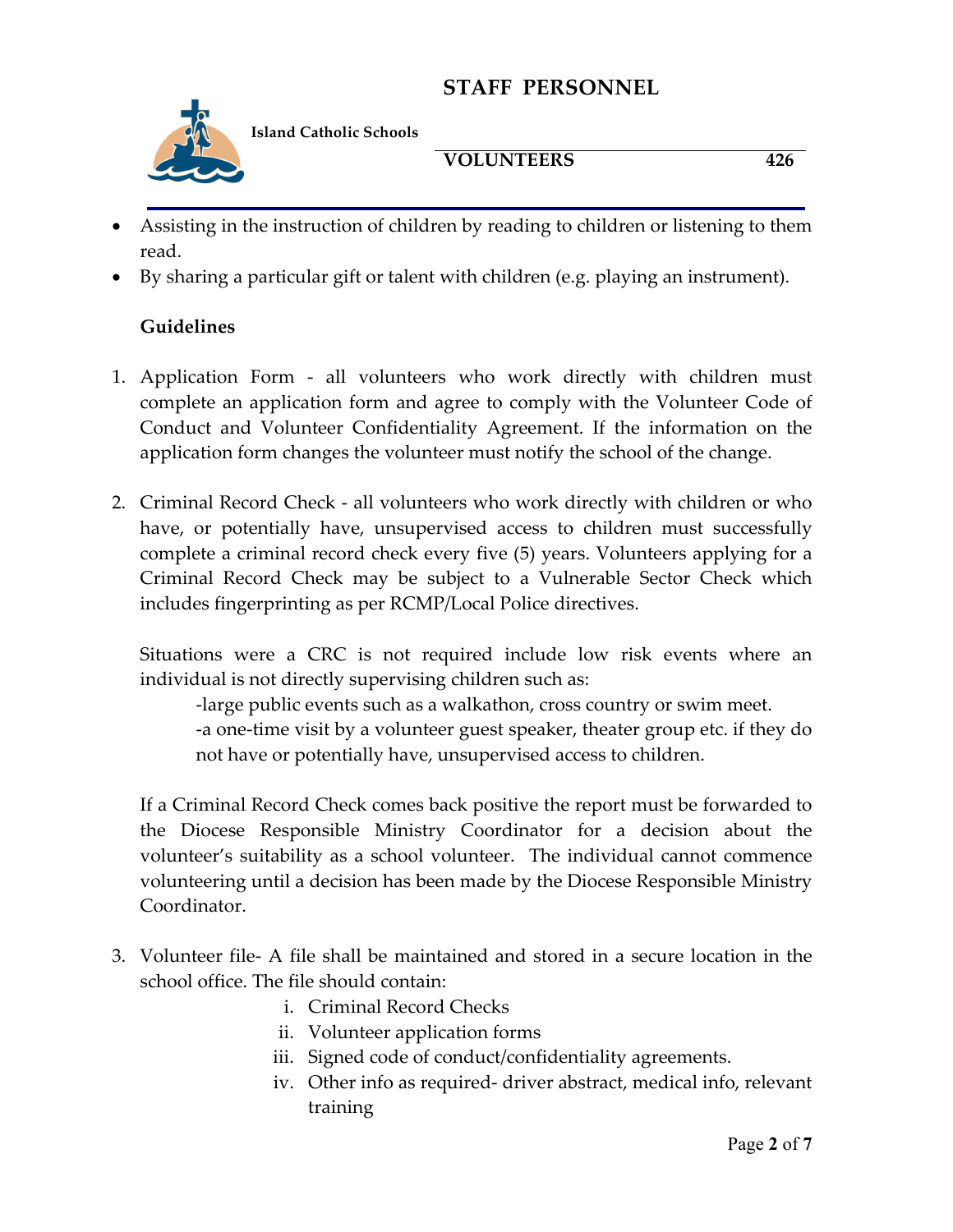

**Island Catholic Schools** 

**VOLUNTEERS 426**

- Assisting in the instruction of children by reading to children or listening to them read.
- By sharing a particular gift or talent with children (e.g. playing an instrument).

## **Guidelines**

- 1. Application Form all volunteers who work directly with children must complete an application form and agree to comply with the Volunteer Code of Conduct and Volunteer Confidentiality Agreement. If the information on the application form changes the volunteer must notify the school of the change.
- 2. Criminal Record Check all volunteers who work directly with children or who have, or potentially have, unsupervised access to children must successfully complete a criminal record check every five (5) years. Volunteers applying for a Criminal Record Check may be subject to a Vulnerable Sector Check which includes fingerprinting as per RCMP/Local Police directives.

Situations were a CRC is not required include low risk events where an individual is not directly supervising children such as:

-large public events such as a walkathon, cross country or swim meet. -a one-time visit by a volunteer guest speaker, theater group etc. if they do not have or potentially have, unsupervised access to children.

If a Criminal Record Check comes back positive the report must be forwarded to the Diocese Responsible Ministry Coordinator for a decision about the volunteer's suitability as a school volunteer. The individual cannot commence volunteering until a decision has been made by the Diocese Responsible Ministry Coordinator.

- 3. Volunteer file- A file shall be maintained and stored in a secure location in the school office. The file should contain:
	- i. Criminal Record Checks
	- ii. Volunteer application forms
	- iii. Signed code of conduct/confidentiality agreements.
	- iv. Other info as required- driver abstract, medical info, relevant training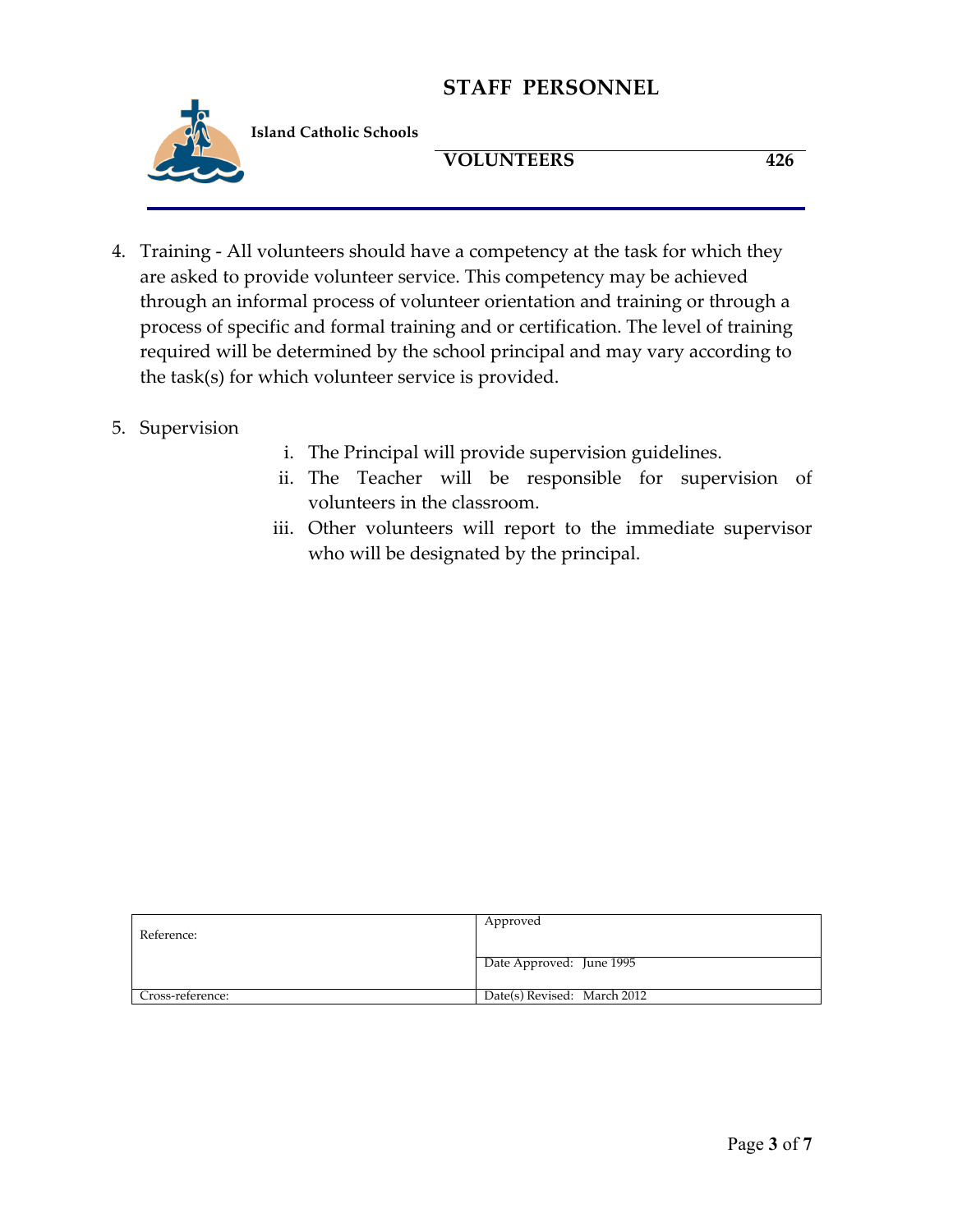

**Island Catholic Schools** 

### **VOLUNTEERS 426**

- 4. Training All volunteers should have a competency at the task for which they are asked to provide volunteer service. This competency may be achieved through an informal process of volunteer orientation and training or through a process of specific and formal training and or certification. The level of training required will be determined by the school principal and may vary according to the task(s) for which volunteer service is provided.
- 5. Supervision
- i. The Principal will provide supervision guidelines.
- ii. The Teacher will be responsible for supervision of volunteers in the classroom.
- iii. Other volunteers will report to the immediate supervisor who will be designated by the principal.

| Reference:       | Approved                    |
|------------------|-----------------------------|
|                  | Date Approved: June 1995    |
| Cross-reference: | Date(s) Revised: March 2012 |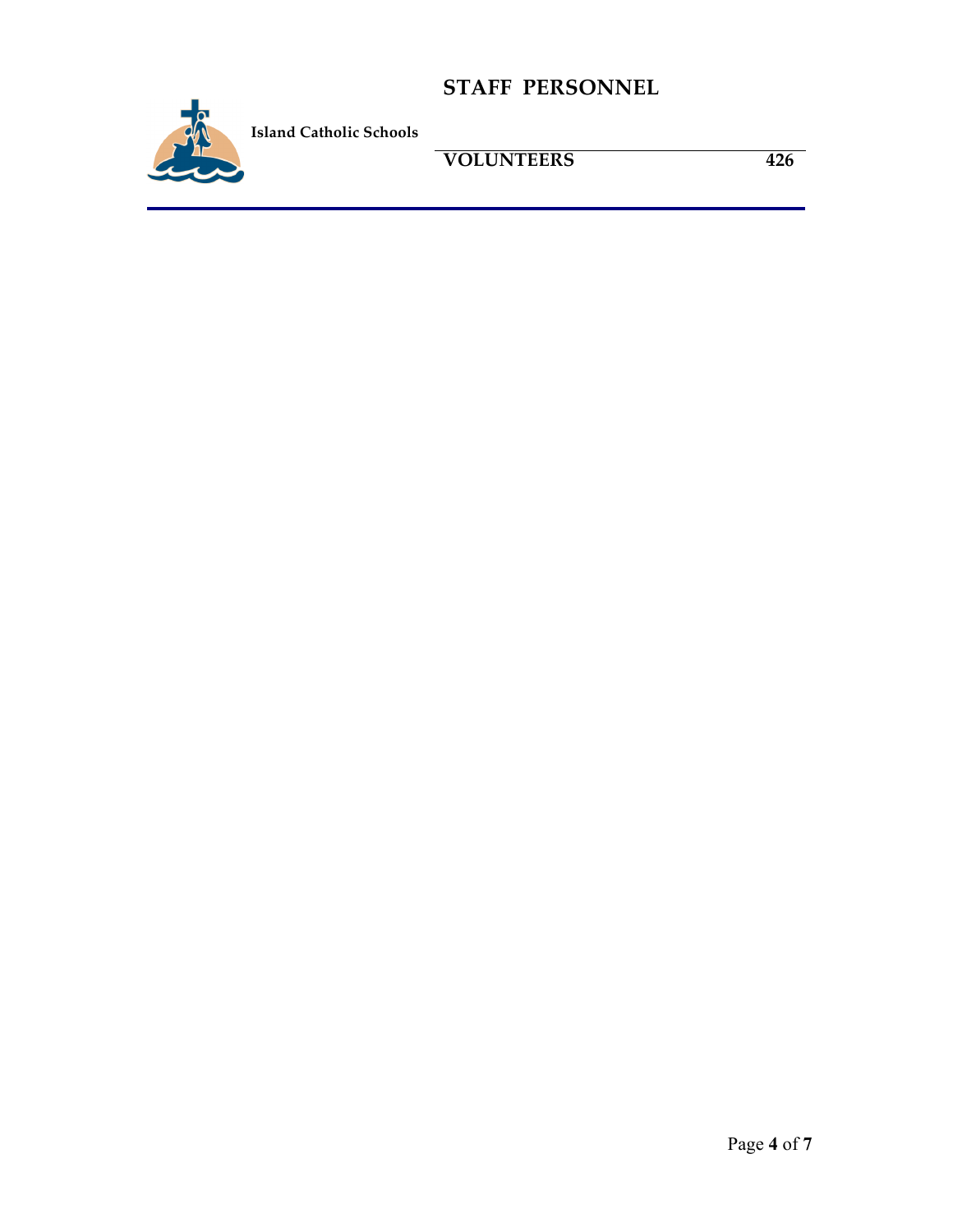

**VOLUNTEERS 426**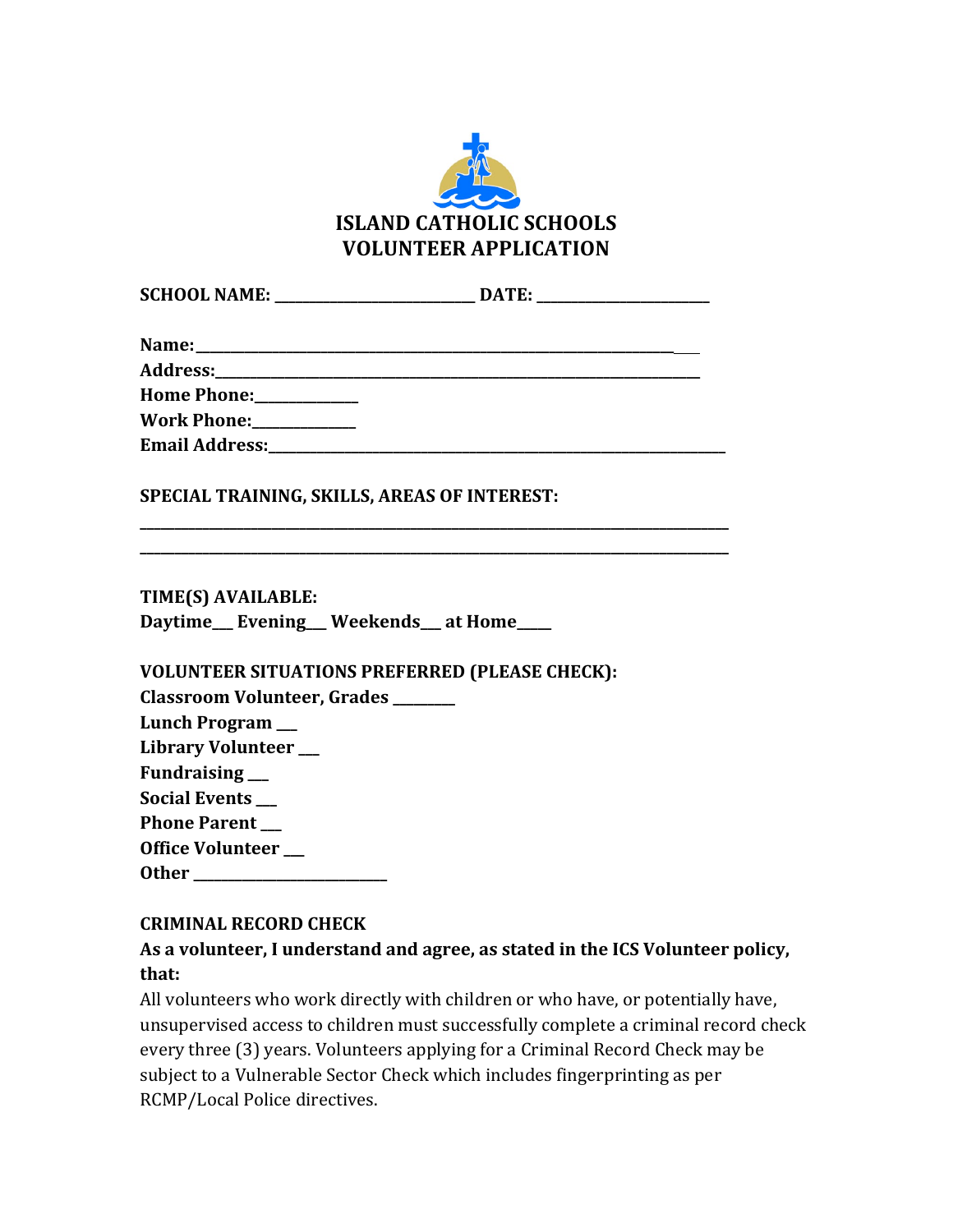

| <b>SCHOOL NAME:</b> | . . |  |
|---------------------|-----|--|
|---------------------|-----|--|

| Name: |
|-------|
|-------|

**Address:\_\_\_\_\_\_\_\_\_\_\_\_\_\_\_\_\_\_\_\_\_\_\_\_\_\_\_\_\_\_\_\_\_\_\_\_\_\_\_\_\_\_\_\_\_\_\_\_\_\_\_\_\_\_\_\_\_\_\_\_\_\_\_\_\_\_\_\_\_\_**

**\_\_\_\_\_\_\_\_\_\_\_\_\_\_\_\_\_\_\_\_\_\_\_\_\_\_\_\_\_\_\_\_\_\_\_\_\_\_\_\_\_\_\_\_\_\_\_\_\_\_\_\_\_\_\_\_\_\_\_\_\_\_\_\_\_\_\_\_\_\_\_\_\_\_\_\_\_\_\_\_\_\_\_\_\_ \_\_\_\_\_\_\_\_\_\_\_\_\_\_\_\_\_\_\_\_\_\_\_\_\_\_\_\_\_\_\_\_\_\_\_\_\_\_\_\_\_\_\_\_\_\_\_\_\_\_\_\_\_\_\_\_\_\_\_\_\_\_\_\_\_\_\_\_\_\_\_\_\_\_\_\_\_\_\_\_\_\_\_\_\_**

**Home Phone:\_\_\_\_\_\_\_\_\_\_\_\_\_\_\_**

Work Phone:

**Email Address:\_\_\_\_\_\_\_\_\_\_\_\_\_\_\_\_\_\_\_\_\_\_\_\_\_\_\_\_\_\_\_\_\_\_\_\_\_\_\_\_\_\_\_\_\_\_\_\_\_\_\_\_\_\_\_\_\_\_\_\_\_\_\_\_\_\_**

**SPECIAL TRAINING, SKILLS, AREAS OF INTEREST:** 

**TIME(S) AVAILABLE:**  Daytime\_\_\_ Evening\_\_\_ Weekends\_\_ at Home\_\_\_\_

| <b>VOLUNTEER SITUATIONS PREFERRED (PLEASE CHECK):</b> |
|-------------------------------------------------------|
| <b>Classroom Volunteer, Grades</b>                    |
| Lunch Program __                                      |
| Library Volunteer __                                  |
| Fundraising __                                        |
| Social Events                                         |
| <b>Phone Parent</b>                                   |
| <b>Office Volunteer</b>                               |

**Other \_\_\_\_\_\_\_\_\_\_\_\_\_\_\_\_\_\_\_\_\_\_\_\_\_\_\_\_** 

## **CRIMINAL RECORD CHECK**

As a volunteer, I understand and agree, as stated in the ICS Volunteer policy, **that:** 

All volunteers who work directly with children or who have, or potentially have, unsupervised access to children must successfully complete a criminal record check every three (3) years. Volunteers applying for a Criminal Record Check may be subject to a Vulnerable Sector Check which includes fingerprinting as per RCMP/Local Police directives.